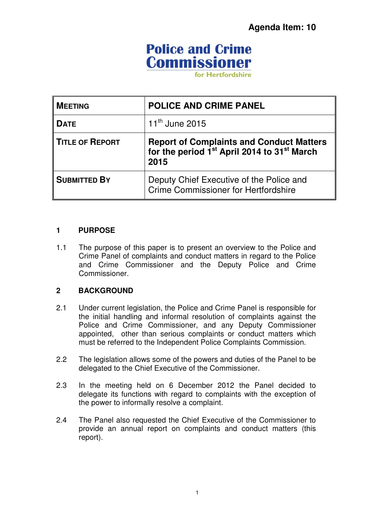# **Police and Crime Commissioner**

for Hertfordshire

| <b>MEETING</b>         | <b>POLICE AND CRIME PANEL</b>                                                                                           |
|------------------------|-------------------------------------------------------------------------------------------------------------------------|
| <b>DATE</b>            | $11^{th}$ June 2015                                                                                                     |
| <b>TITLE OF REPORT</b> | Report of Complaints and Conduct Matters<br>for the period 1 <sup>st</sup> April 2014 to 31 <sup>st</sup> March<br>2015 |
| <b>SUBMITTED BY</b>    | Deputy Chief Executive of the Police and<br>Crime Commissioner for Hertfordshire                                        |

#### **1 PURPOSE**

1.1 The purpose of this paper is to present an overview to the Police and Crime Panel of complaints and conduct matters in regard to the Police and Crime Commissioner and the Deputy Police and Crime Commissioner.

### **2 BACKGROUND**

- 2.1 Under current legislation, the Police and Crime Panel is responsible for the initial handling and informal resolution of complaints against the Police and Crime Commissioner, and any Deputy Commissioner appointed, other than serious complaints or conduct matters which must be referred to the Independent Police Complaints Commission.
- 2.2 The legislation allows some of the powers and duties of the Panel to be delegated to the Chief Executive of the Commissioner.
- 2.3 In the meeting held on 6 December 2012 the Panel decided to delegate its functions with regard to complaints with the exception of the power to informally resolve a complaint.
- 2.4 The Panel also requested the Chief Executive of the Commissioner to provide an annual report on complaints and conduct matters (this report).